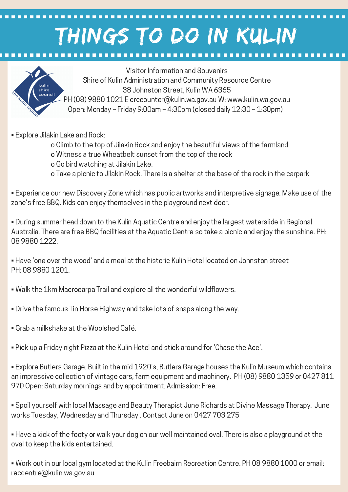## THINGS TO DO IN KULIN



Visitor Information and Souvenirs Shire of Kulin Administration and Community Resource Centre 38 Johnston Street, Kulin WA 6365 PH (08) 9880 1021 E crccounter@kulin.wa.gov.au W: www.kulin.wa.gov.au Open: Monday – Friday 9:00am – 4:30pm (closed daily 12:30 – 1:30pm)

- Explore Jilakin Lake and Rock:
	- o Climb to the top of Jilakin Rock and enjoy the beautiful views of the farmland
	- o Witness a true Wheatbelt sunset from the top of the rock
	- o Go bird watching at Jilakin Lake.
	- o Take a picnic to Jilakin Rock. There is a shelter at the base of the rock in the carpark

• Experience our new Discovery Zone which has public artworks and interpretive signage. Make use of the zone's free BBQ. Kids can enjoy themselves in the playground next door.

• During summer head down to the Kulin Aquatic Centre and enjoy the largest waterslide in Regional Australia. There are free BBQ facilities at the Aquatic Centre so take a picnic and enjoy the sunshine. PH: 08 9880 1222.

• Have 'one over the wood' and a meal at the historic Kulin Hotel located on Johnston street PH: 08 9880 1201.

- Walk the 1km Macrocarpa Trail and explore all the wonderful wildflowers.
- Drive the famous Tin Horse Highway and take lots of snaps along the way.
- Grab a milkshake at the Woolshed Café.
- Pick up a Friday night Pizza at the Kulin Hotel and stick around for 'Chase the Ace'.

• Explore Butlers Garage. Built in the mid 1920's, Butlers Garage houses the Kulin Museum which contains an impressive collection of vintage cars, farm equipment and machinery. PH (08) 9880 1359 or 0427 811 970 Open: Saturday mornings and by appointment. Admission: Free.

• Spoil yourself with local Massage and Beauty Therapist June Richards at Divine Massage Therapy. June works Tuesday, Wednesday and Thursday . Contact June on 0427 703 275

• Have a kick of the footy or walk your dog on our well maintained oval. There is also a playground at the oval to keep the kids entertained.

• Work out in our local gym located at the Kulin Freebairn Recreation Centre. PH 08 9880 1000 or email: reccentre@kulin.wa.gov.au